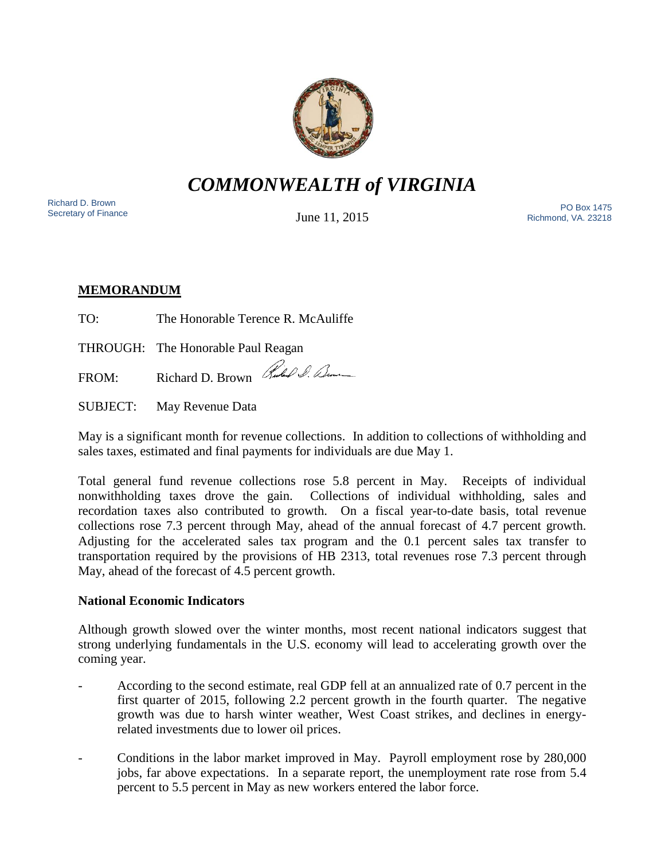

*COMMONWEALTH of VIRGINIA*

Richard D. Brown<br>Secretary of Finance

June 11, 2015

Sichard D. Brown<br>Secretary of Finance The PO Box 1475 Richmond, VA. 23218

# **MEMORANDUM**

TO: The Honorable Terence R. McAuliffe

THROUGH: The Honorable Paul Reagan

FROM: Richard D. Brown Rules & Benne

SUBJECT: May Revenue Data

May is a significant month for revenue collections. In addition to collections of withholding and sales taxes, estimated and final payments for individuals are due May 1.

Total general fund revenue collections rose 5.8 percent in May. Receipts of individual nonwithholding taxes drove the gain. Collections of individual withholding, sales and recordation taxes also contributed to growth. On a fiscal year-to-date basis, total revenue collections rose 7.3 percent through May, ahead of the annual forecast of 4.7 percent growth. Adjusting for the accelerated sales tax program and the 0.1 percent sales tax transfer to transportation required by the provisions of HB 2313, total revenues rose 7.3 percent through May, ahead of the forecast of 4.5 percent growth.

## **National Economic Indicators**

Although growth slowed over the winter months, most recent national indicators suggest that strong underlying fundamentals in the U.S. economy will lead to accelerating growth over the coming year.

- According to the second estimate, real GDP fell at an annualized rate of 0.7 percent in the first quarter of 2015, following 2.2 percent growth in the fourth quarter. The negative growth was due to harsh winter weather, West Coast strikes, and declines in energyrelated investments due to lower oil prices.
- Conditions in the labor market improved in May. Payroll employment rose by 280,000 jobs, far above expectations. In a separate report, the unemployment rate rose from 5.4 percent to 5.5 percent in May as new workers entered the labor force.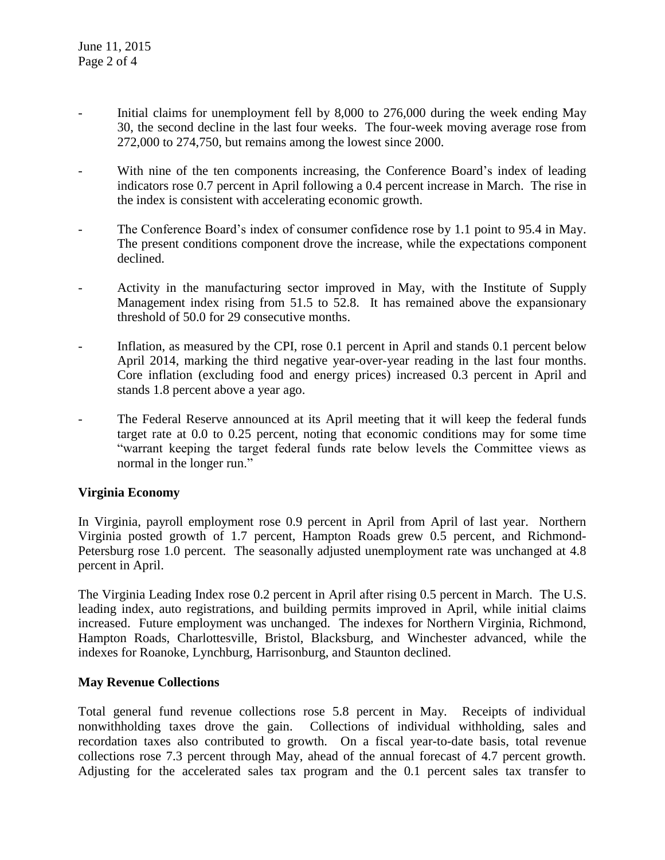- Initial claims for unemployment fell by 8,000 to 276,000 during the week ending May 30, the second decline in the last four weeks. The four-week moving average rose from 272,000 to 274,750, but remains among the lowest since 2000.
- With nine of the ten components increasing, the Conference Board's index of leading indicators rose 0.7 percent in April following a 0.4 percent increase in March. The rise in the index is consistent with accelerating economic growth.
- The Conference Board's index of consumer confidence rose by 1.1 point to 95.4 in May. The present conditions component drove the increase, while the expectations component declined.
- Activity in the manufacturing sector improved in May, with the Institute of Supply Management index rising from 51.5 to 52.8. It has remained above the expansionary threshold of 50.0 for 29 consecutive months.
- Inflation, as measured by the CPI, rose 0.1 percent in April and stands 0.1 percent below April 2014, marking the third negative year-over-year reading in the last four months. Core inflation (excluding food and energy prices) increased 0.3 percent in April and stands 1.8 percent above a year ago.
- The Federal Reserve announced at its April meeting that it will keep the federal funds target rate at 0.0 to 0.25 percent, noting that economic conditions may for some time "warrant keeping the target federal funds rate below levels the Committee views as normal in the longer run."

### **Virginia Economy**

In Virginia, payroll employment rose 0.9 percent in April from April of last year. Northern Virginia posted growth of 1.7 percent, Hampton Roads grew 0.5 percent, and Richmond-Petersburg rose 1.0 percent. The seasonally adjusted unemployment rate was unchanged at 4.8 percent in April.

The Virginia Leading Index rose 0.2 percent in April after rising 0.5 percent in March. The U.S. leading index, auto registrations, and building permits improved in April, while initial claims increased. Future employment was unchanged. The indexes for Northern Virginia, Richmond, Hampton Roads, Charlottesville, Bristol, Blacksburg, and Winchester advanced, while the indexes for Roanoke, Lynchburg, Harrisonburg, and Staunton declined.

### **May Revenue Collections**

Total general fund revenue collections rose 5.8 percent in May. Receipts of individual nonwithholding taxes drove the gain. Collections of individual withholding, sales and recordation taxes also contributed to growth. On a fiscal year-to-date basis, total revenue collections rose 7.3 percent through May, ahead of the annual forecast of 4.7 percent growth. Adjusting for the accelerated sales tax program and the 0.1 percent sales tax transfer to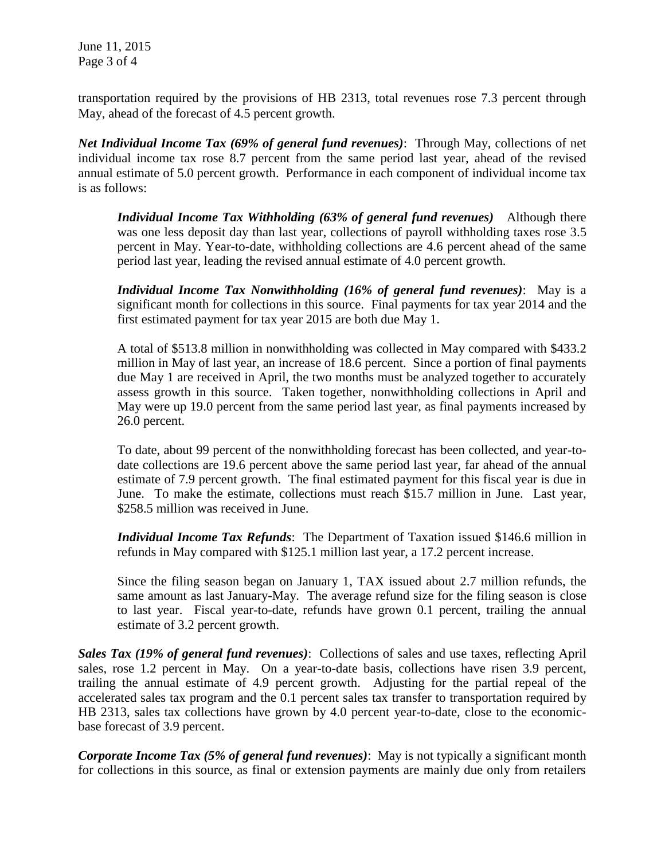June 11, 2015 Page 3 of 4

transportation required by the provisions of HB 2313, total revenues rose 7.3 percent through May, ahead of the forecast of 4.5 percent growth.

*Net Individual Income Tax (69% of general fund revenues)*: Through May, collections of net individual income tax rose 8.7 percent from the same period last year, ahead of the revised annual estimate of 5.0 percent growth. Performance in each component of individual income tax is as follows:

*Individual Income Tax Withholding (63% of general fund revenues)* Although there was one less deposit day than last year, collections of payroll withholding taxes rose 3.5 percent in May. Year-to-date, withholding collections are 4.6 percent ahead of the same period last year, leading the revised annual estimate of 4.0 percent growth.

*Individual Income Tax Nonwithholding (16% of general fund revenues)*: May is a significant month for collections in this source. Final payments for tax year 2014 and the first estimated payment for tax year 2015 are both due May 1.

A total of \$513.8 million in nonwithholding was collected in May compared with \$433.2 million in May of last year, an increase of 18.6 percent. Since a portion of final payments due May 1 are received in April, the two months must be analyzed together to accurately assess growth in this source. Taken together, nonwithholding collections in April and May were up 19.0 percent from the same period last year, as final payments increased by 26.0 percent.

To date, about 99 percent of the nonwithholding forecast has been collected, and year-todate collections are 19.6 percent above the same period last year, far ahead of the annual estimate of 7.9 percent growth. The final estimated payment for this fiscal year is due in June. To make the estimate, collections must reach \$15.7 million in June. Last year, \$258.5 million was received in June.

*Individual Income Tax Refunds*: The Department of Taxation issued \$146.6 million in refunds in May compared with \$125.1 million last year, a 17.2 percent increase.

Since the filing season began on January 1, TAX issued about 2.7 million refunds, the same amount as last January-May. The average refund size for the filing season is close to last year. Fiscal year-to-date, refunds have grown 0.1 percent, trailing the annual estimate of 3.2 percent growth.

*Sales Tax (19% of general fund revenues)*: Collections of sales and use taxes, reflecting April sales, rose 1.2 percent in May. On a year-to-date basis, collections have risen 3.9 percent, trailing the annual estimate of 4.9 percent growth. Adjusting for the partial repeal of the accelerated sales tax program and the 0.1 percent sales tax transfer to transportation required by HB 2313, sales tax collections have grown by 4.0 percent year-to-date, close to the economicbase forecast of 3.9 percent.

*Corporate Income Tax (5% of general fund revenues)*: May is not typically a significant month for collections in this source, as final or extension payments are mainly due only from retailers